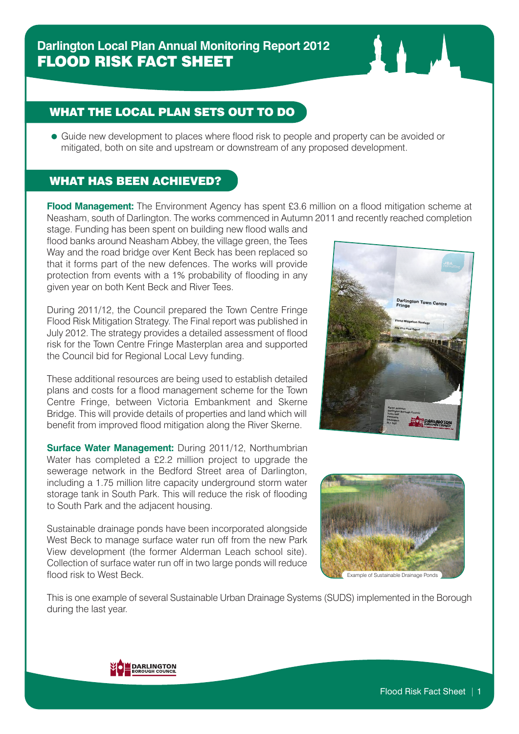## WHAT THE LOCAL PLAN SETS OUT TO DO

 Guide new development to places where flood risk to people and property can be avoided or mitigated, both on site and upstream or downstream of any proposed development.

## WHAT HAS BEEN ACHIEVED?

**Flood Management:** The Environment Agency has spent £3.6 million on a flood mitigation scheme at Neasham, south of Darlington. The works commenced in Autumn 2011 and recently reached completion

stage. Funding has been spent on building new flood walls and flood banks around Neasham Abbey, the village green, the Tees Way and the road bridge over Kent Beck has been replaced so that it forms part of the new defences. The works will provide protection from events with a 1% probability of flooding in any given year on both Kent Beck and River Tees.

During 2011/12, the Council prepared the Town Centre Fringe Flood Risk Mitigation Strategy. The Final report was published in July 2012. The strategy provides a detailed assessment of flood risk for the Town Centre Fringe Masterplan area and supported the Council bid for Regional Local Levy funding.

These additional resources are being used to establish detailed plans and costs for a flood management scheme for the Town Centre Fringe, between Victoria Embankment and Skerne Bridge. This will provide details of properties and land which will benefit from improved flood mitigation along the River Skerne.

**Surface Water Management:** During 2011/12, Northumbrian Water has completed a £2.2 million project to upgrade the sewerage network in the Bedford Street area of Darlington, including a 1.75 million litre capacity underground storm water storage tank in South Park. This will reduce the risk of flooding to South Park and the adjacent housing.

Sustainable drainage ponds have been incorporated alongside West Beck to manage surface water run off from the new Park View development (the former Alderman Leach school site). Collection of surface water run off in two large ponds will reduce flood risk to West Beck.



**Karen Johnson T rlington Borough Council <sup>n</sup> Hall Feethams Darlington DL1 5QT**

**Darlington Town Fringe**

**Centre**

**DARLINGTO** 

**Flood Mitigation Strategy July <sup>2012</sup> Final Report**

This is one example of several Sustainable Urban Drainage Systems (SUDS) implemented in the Borough during the last year.